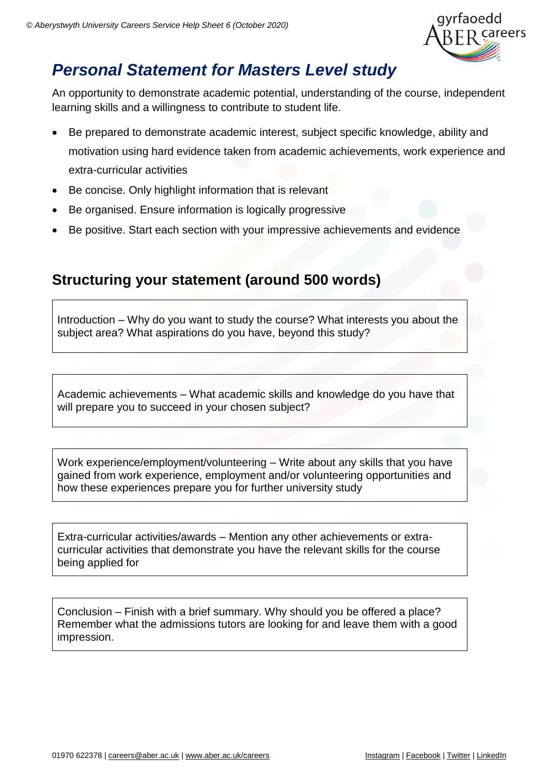

# *Personal Statement for Masters Level study*

An opportunity to demonstrate academic potential, understanding of the course, independent learning skills and a willingness to contribute to student life.

- Be prepared to demonstrate academic interest, subject specific knowledge, ability and motivation using hard evidence taken from academic achievements, work experience and extra-curricular activities
- Be concise. Only highlight information that is relevant
- Be organised. Ensure information is logically progressive
- Be positive. Start each section with your impressive achievements and evidence

### **Structuring your statement (around 500 words)**

Introduction – Why do you want to study the course? What interests you about the subject area? What aspirations do you have, beyond this study?

Academic achievements – What academic skills and knowledge do you have that will prepare you to succeed in your chosen subject?

Work experience/employment/volunteering – Write about any skills that you have gained from work experience, employment and/or volunteering opportunities and how these experiences prepare you for further university study

Extra-curricular activities/awards – Mention any other achievements or extracurricular activities that demonstrate you have the relevant skills for the course being applied for

Conclusion – Finish with a brief summary. Why should you be offered a place? Remember what the admissions tutors are looking for and leave them with a good impression.